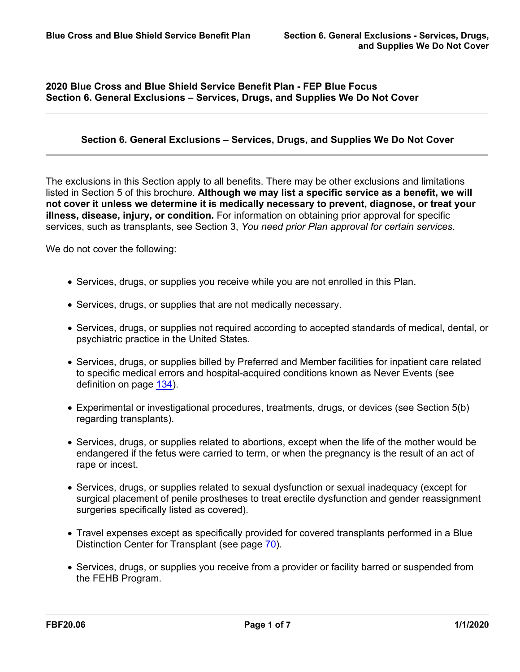## **2020 Blue Cross and Blue Shield Service Benefit Plan - FEP Blue Focus Section 6. General Exclusions – Services, Drugs, and Supplies We Do Not Cover**

## **Section 6. General Exclusions – Services, Drugs, and Supplies We Do Not Cover**

The exclusions in this Section apply to all benefits. There may be other exclusions and limitations listed in Section 5 of this brochure. **Although we may list a specific service as a benefit, we will not cover it unless we determine it is medically necessary to prevent, diagnose, or treat your illness, disease, injury, or condition.** For information on obtaining prior approval for specific services, such as transplants, see Section 3, *You need prior Plan approval for certain services*.

We do not cover the following:

- Services, drugs, or supplies you receive while you are not enrolled in this Plan.
- Services, drugs, or supplies that are not medically necessary.
- Services, drugs, or supplies not required according to accepted standards of medical, dental, or psychiatric practice in the United States.
- Services, drugs, or supplies billed by Preferred and Member facilities for inpatient care related to specific medical errors and hospital-acquired conditions known as Never Events (see definition on page [134](a8376318-ebd6-421f-be63-acf8c88376a1_8f8ea3a8-9776-4edf-9dd6-55e6a3feb6b8.html?v=32493)).
- Experimental or investigational procedures, treatments, drugs, or devices (see Section 5(b) regarding transplants).
- Services, drugs, or supplies related to abortions, except when the life of the mother would be endangered if the fetus were carried to term, or when the pregnancy is the result of an act of rape or incest.
- Services, drugs, or supplies related to sexual dysfunction or sexual inadequacy (except for surgical placement of penile prostheses to treat erectile dysfunction and gender reassignment surgeries specifically listed as covered).
- Travel expenses except as specifically provided for covered transplants performed in a Blue Distinction Center for Transplant (see page [70](a8376318-ebd6-421f-be63-acf8c88376a1_64916a0d-6ab9-4d3c-9e05-0c835f2411e4.html?v=32493)).
- Services, drugs, or supplies you receive from a provider or facility barred or suspended from the FEHB Program.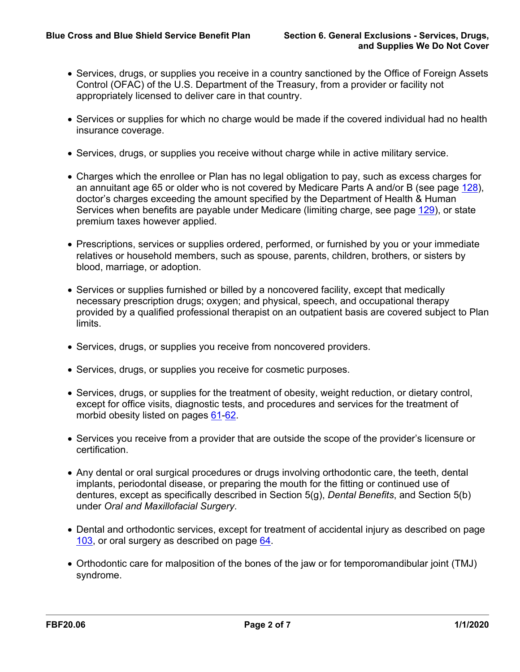- Services, drugs, or supplies you receive in a country sanctioned by the Office of Foreign Assets Control (OFAC) of the U.S. Department of the Treasury, from a provider or facility not appropriately licensed to deliver care in that country.
- Services or supplies for which no charge would be made if the covered individual had no health insurance coverage.
- Services, drugs, or supplies you receive without charge while in active military service.
- Charges which the enrollee or Plan has no legal obligation to pay, such as excess charges for an annuitant age 65 or older who is not covered by Medicare Parts A and/or B (see page [128](a8376318-ebd6-421f-be63-acf8c88376a1_1d20a582-6394-4f1a-819f-9198442b1821.html?v=32493)), doctor's charges exceeding the amount specified by the Department of Health & Human Services when benefits are payable under Medicare (limiting charge, see page [129\)](a8376318-ebd6-421f-be63-acf8c88376a1_fd177d67-31ae-4ec1-b3e4-0ff35ff7fe4f.html?v=32493), or state premium taxes however applied.
- Prescriptions, services or supplies ordered, performed, or furnished by you or your immediate relatives or household members, such as spouse, parents, children, brothers, or sisters by blood, marriage, or adoption.
- Services or supplies furnished or billed by a noncovered facility, except that medically necessary prescription drugs; oxygen; and physical, speech, and occupational therapy provided by a qualified professional therapist on an outpatient basis are covered subject to Plan limits.
- Services, drugs, or supplies you receive from noncovered providers.
- Services, drugs, or supplies you receive for cosmetic purposes.
- Services, drugs, or supplies for the treatment of obesity, weight reduction, or dietary control, except for office visits, diagnostic tests, and procedures and services for the treatment of morbid obesity listed on pages [61](a8376318-ebd6-421f-be63-acf8c88376a1_4be0ff5b-d31d-4af8-aa21-69648d55dfdd.html?v=32493)[-62.](a8376318-ebd6-421f-be63-acf8c88376a1_9e0d1846-9c9d-47f0-8cd1-069a1c2ea3a1.html?v=32493)
- Services you receive from a provider that are outside the scope of the provider's licensure or certification.
- Any dental or oral surgical procedures or drugs involving orthodontic care, the teeth, dental implants, periodontal disease, or preparing the mouth for the fitting or continued use of dentures, except as specifically described in Section 5(g), *Dental Benefits*, and Section 5(b) under *Oral and Maxillofacial Surgery*.
- Dental and orthodontic services, except for treatment of accidental injury as described on page [103](a8376318-ebd6-421f-be63-acf8c88376a1_9eb0d41e-c108-4222-b78c-210ec5833e61.html?v=32493), or oral surgery as described on page [64.](a8376318-ebd6-421f-be63-acf8c88376a1_6ce0191c-9cd4-4d3c-a43e-b696b38e98fb.html?v=32493)
- Orthodontic care for malposition of the bones of the jaw or for temporomandibular joint (TMJ) syndrome.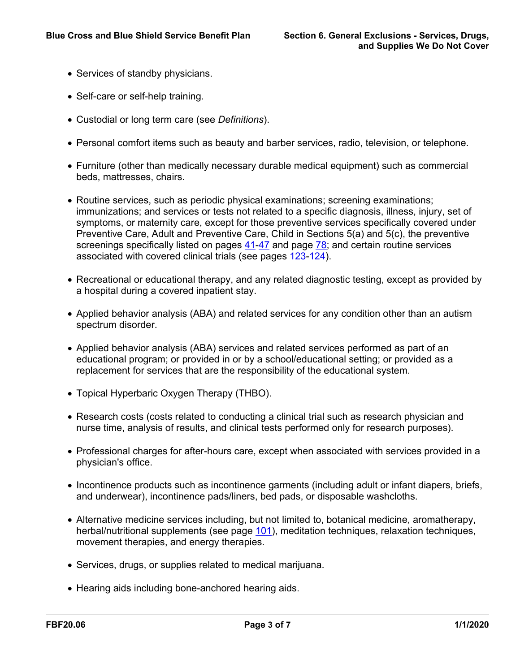- Services of standby physicians.
- Self-care or self-help training.
- Custodial or long term care (see *Definitions*).
- Personal comfort items such as beauty and barber services, radio, television, or telephone.
- Furniture (other than medically necessary durable medical equipment) such as commercial beds, mattresses, chairs.
- Routine services, such as periodic physical examinations; screening examinations; immunizations; and services or tests not related to a specific diagnosis, illness, injury, set of symptoms, or maternity care, except for those preventive services specifically covered under Preventive Care, Adult and Preventive Care, Child in Sections 5(a) and 5(c), the preventive screenings specifically listed on pages [41-](a8376318-ebd6-421f-be63-acf8c88376a1_43c1b3ad-57b8-4576-9ea0-0e45d22ede41.html?v=32493)[47](a8376318-ebd6-421f-be63-acf8c88376a1_caacf78e-46fe-4d6c-9d7b-3ba11d7d9a62.html?v=32493) and page [78;](a8376318-ebd6-421f-be63-acf8c88376a1_cbe58f9b-5321-4de6-b914-f9c546f072a0.html?v=32493) and certain routine services associated with covered clinical trials (see pages [123](a8376318-ebd6-421f-be63-acf8c88376a1_440c8cd7-9d2c-47fa-92eb-7d301c0eca6f.html?v=32493)[-124](a8376318-ebd6-421f-be63-acf8c88376a1_1858cf0d-5270-45b8-8834-b62e6019c692.html?v=32493)).
- Recreational or educational therapy, and any related diagnostic testing, except as provided by a hospital during a covered inpatient stay.
- Applied behavior analysis (ABA) and related services for any condition other than an autism spectrum disorder.
- Applied behavior analysis (ABA) services and related services performed as part of an educational program; or provided in or by a school/educational setting; or provided as a replacement for services that are the responsibility of the educational system.
- Topical Hyperbaric Oxygen Therapy (THBO).
- Research costs (costs related to conducting a clinical trial such as research physician and nurse time, analysis of results, and clinical tests performed only for research purposes).
- Professional charges for after-hours care, except when associated with services provided in a physician's office.
- Incontinence products such as incontinence garments (including adult or infant diapers, briefs, and underwear), incontinence pads/liners, bed pads, or disposable washcloths.
- Alternative medicine services including, but not limited to, botanical medicine, aromatherapy, herbal/nutritional supplements (see page [101](a8376318-ebd6-421f-be63-acf8c88376a1_7c2fa7f8-602e-4190-915b-386ac7ec03ca.html?v=32493)), meditation techniques, relaxation techniques, movement therapies, and energy therapies.
- Services, drugs, or supplies related to medical marijuana.
- Hearing aids including bone-anchored hearing aids.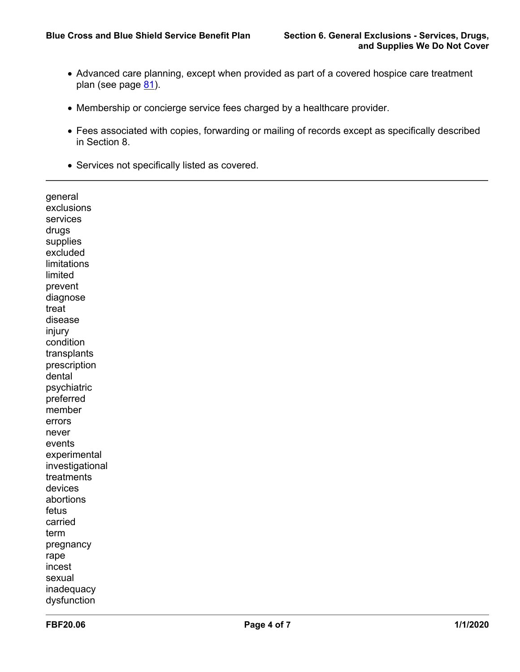- Advanced care planning, except when provided as part of a covered hospice care treatment plan (see page [81](a8376318-ebd6-421f-be63-acf8c88376a1_76436ae6-c105-40bc-a0a8-2826cf4293dc.html?v=32493)).
- Membership or concierge service fees charged by a healthcare provider.
- Fees associated with copies, forwarding or mailing of records except as specifically described in Section 8.
- Services not specifically listed as covered.

| general         |  |
|-----------------|--|
| exclusions      |  |
| services        |  |
| drugs           |  |
| supplies        |  |
| excluded        |  |
| limitations     |  |
| limited         |  |
| prevent         |  |
| diagnose        |  |
| treat           |  |
| disease         |  |
| injury          |  |
| condition       |  |
| transplants     |  |
| prescription    |  |
| dental          |  |
| psychiatric     |  |
| preferred       |  |
| member          |  |
| errors          |  |
| never           |  |
| events          |  |
| experimental    |  |
| investigational |  |
| treatments      |  |
| devices         |  |
| abortions       |  |
| fetus           |  |
| carried         |  |
| term            |  |
| pregnancy       |  |
| rape            |  |
| incest          |  |
| sexual          |  |
| inadequacy      |  |
| dysfunction     |  |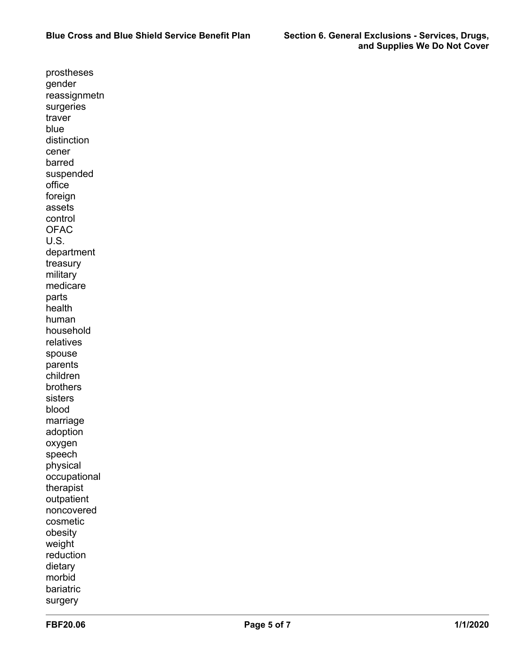prostheses gender reassignmetn surgeries traver blue distinction cener barred suspended office foreign assets control **OFAC** U.S. department treasury military medicare parts health human household relatives spouse parents children brothers sisters blood marriage adoption oxygen speech physical occupational therapist outpatient noncovered cosmetic obesity weight reduction dietary morbid bariatric surgery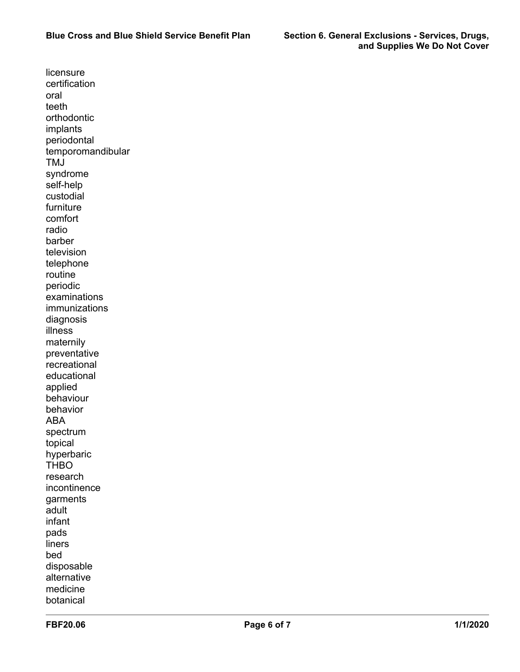licensure certification oral teeth orthodontic implants periodontal temporomandibular TMJ syndrome self-help custodial furniture comfort radio barber television telephone routine periodic examinations immunizations diagnosis illness maternily preventative recreational educational applied behaviour behavior ABA spectrum topical hyperbaric **THBO** research incontinence garments adult infant pads liners bed disposable alternative medicine botanical